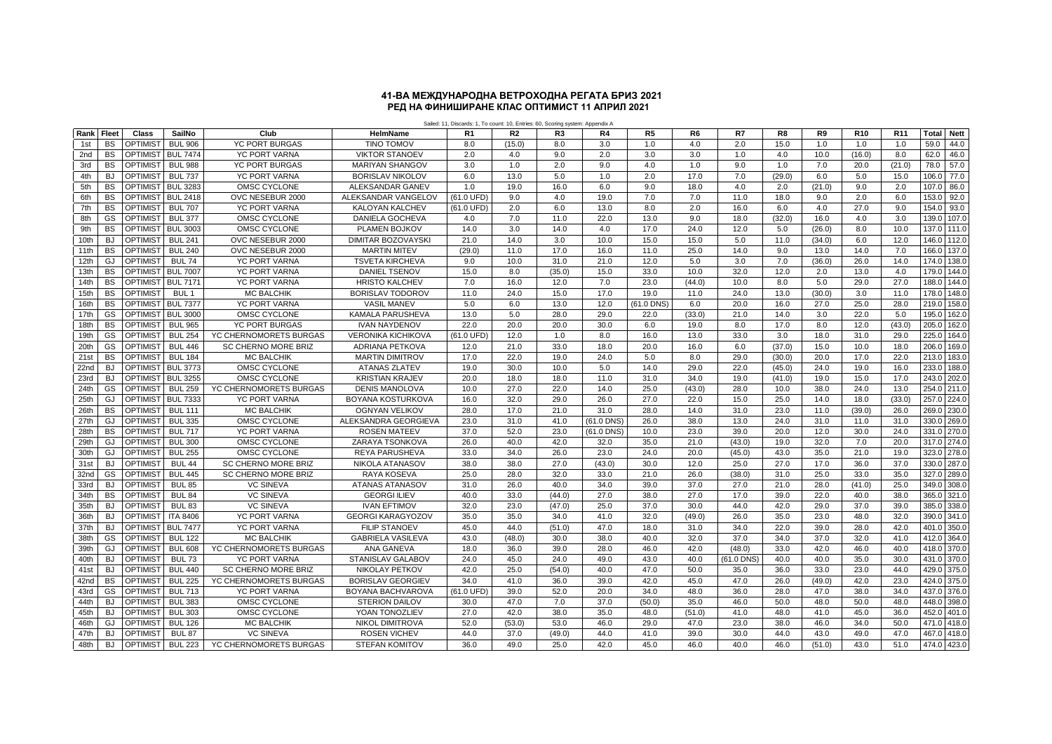## **РЕД НА ФИНИШИРАНЕ КЛАС ОПТИМИСТ 11 АПРИЛ 2021 41-ВА МЕЖДУНАРОДНА ВЕТРОХОДНА РЕГАТА БРИЗ 2021**

Sailed: 11, Discards: 1, To count: 10, Entries: 60, Scoring system: Appendix A

| Rank         | Fleet                  | Class                                        | SailNo                          | Club                                    | HelmName                                   | R <sub>1</sub> | R <sub>2</sub> | R <sub>3</sub> | R4             | R <sub>5</sub> | R6             | R7             | R <sub>8</sub> | R <sub>9</sub> | R <sub>10</sub> | R <sub>11</sub> | <b>Total</b>     | <b>Nett</b>    |
|--------------|------------------------|----------------------------------------------|---------------------------------|-----------------------------------------|--------------------------------------------|----------------|----------------|----------------|----------------|----------------|----------------|----------------|----------------|----------------|-----------------|-----------------|------------------|----------------|
| 1st          | <b>BS</b>              | <b>OPTIMIS</b>                               | <b>BUL 906</b>                  | <b>YC PORT BURGAS</b>                   | <b>TINO TOMOV</b>                          | 8.0            | (15.0)         | 8.0            | 3.0            | 1.0            | 4.0            | 2.0            | 15.0           | 1.0            | 1.0             | 1.0             | 59.0             | 44.0           |
| 2nd          | <b>BS</b>              | OPTIMIST                                     | <b>BUL 7474</b>                 | <b>YC PORT VARNA</b>                    | <b>VIKTOR STANOEV</b>                      | 2.0            | 4.0            | 9.0            | 2.0            | 3.0            | 3.0            | 1.0            | 4.0            | 10.0           | (16.0)          | 8.0             | 62.0             | 46.0           |
| 3rd          | <b>BS</b>              | OPTIMIST                                     | <b>BUL 988</b>                  | <b>YC PORT BURGAS</b>                   | <b>MARIYAN SHANGOV</b>                     | 3.0            | 1.0            | 2.0            | 9.0            | 4.0            | 1.0            | 9.0            | 1.0            | 7.0            | 20.0            | (21.0)          | 78.0             | 57.0           |
| 4th          | <b>BJ</b>              | OPTIMIS <sub>1</sub>                         | <b>BUL 737</b>                  | <b>YC PORT VARNA</b>                    | <b>BORISLAV NIKOLOV</b>                    | 6.0            | 13.0           | 5.0            | 1.0            | 2.0            | 17.0           | 7.0            | (29.0)         | 6.0            | 5.0             | 15.0            | 106.0            | 77.0           |
| 5th          | <b>BS</b>              | <b>OPTIMIS</b>                               | <b>BUL 3283</b>                 | OMSC CYCLONE                            | <b>ALEKSANDAR GANEV</b>                    | 1.0            | 19.0           | 16.0           | 6.0            | 9.0            | 18.0           | 4.0            | 2.0            | (21.0)         | 9.0             | 2.0             | 107 <sub>0</sub> | 86.0           |
| 6th          | BS                     | <b>OPTIMIST</b>                              | <b>BUL 2418</b>                 | OVC NESEBUR 2000                        | ALEKSANDAR VANGELOV                        | (61.0 UFD)     | 9.0            | 4.0            | 19.0           | 7.0            | 7.0            | 11.0           | 18.0           | 9.0            | 2.0             | 6.0             | 153.0            | 92.0           |
| 7th          | <b>BS</b>              | <b>OPTIMIS</b>                               | <b>BUL 707</b>                  | <b>YC PORT VARNA</b>                    | <b>KALOYAN KALCHEV</b>                     | (61.0 UFD)     | 2.0            | 6.0            | 13.0           | 8.0            | 2.0            | 16.0           | 6.0            | 4.0            | 27.0            | 9.0             | 154.0            | 93.0           |
| 8th          | GS                     | <b>OPTIMIST</b>                              | <b>BUL 377</b>                  | OMSC CYCLONE                            | DANIELA GOCHEVA                            | 4.0            | 7.0            | 11.0           | 22.0           | 13.0           | 9.0            | 18.0           | (32.0)         | 16.0           | 4.0             | 3.0             | 139.0            | 107.0          |
| 9th          | <b>BS</b>              | <b>OPTIMIST</b>                              | <b>BUL 3003</b>                 | OMSC CYCLONE                            | PLAMEN BOJKOV                              | 14.0           | 3.0            | 14.0           | 4.0            | 17.0           | 24.0           | 12.0           | 5.0            | (26.0)         | 8.0             | 10.0            | 137.0            | 111.0          |
| 10th         | <b>BJ</b>              | <b>OPTIMIST</b>                              | <b>BUL 241</b>                  | OVC NESEBUR 2000                        | <b>DIMITAR BOZOVAYSKI</b>                  | 21.0           | 14.0           | 3.0            | 10.0           | 15.0           | 15.0           | 5.0            | 11.0           | (34.0)         | 6.0             | 12.0            | 146.0 112.0      |                |
| 11th         | <b>BS</b>              | OPTIMIST                                     | <b>BUL 240</b>                  | OVC NESEBUR 2000                        | <b>MARTIN MITEV</b>                        | (29.0)         | 11.0           | 17.0           | 16.0           | 11.0           | 25.0           | 14.0           | 9.0            | 13.0           | 14.0            | 7.0             | 166.0            | 137.0          |
| 12th         | GJ                     | OPTIMIST                                     | <b>BUL 74</b>                   | YC PORT VARNA                           | <b>TSVETA KIRCHEVA</b>                     | 9.0            | 10.0           | 31.0           | 21.0           | 12.0           | 5.0            | 3.0            | 7.0            | (36.0)         | 26.0            | 14.0            | 174.0 138.0      |                |
| 13th         | <b>BS</b>              | <b>OPTIMIST</b>                              | <b>BUL 7007</b>                 | <b>YC PORT VARNA</b>                    | <b>DANIEL TSENOV</b>                       | 15.0           | 8.0            | (35.0)         | 15.0           | 33.0           | 10.0           | 32.0           | 12.0           | 2.0            | 13.0            | 4.0             | 179.0            | 144.0          |
| 14th         | <b>BS</b>              | <b>OPTIMIST</b>                              | <b>BUL 7171</b>                 | YC PORT VARNA                           | <b>HRISTO KALCHEV</b>                      | 7.0            | 16.0           | 12.0           | 7.0            | 23.0           | (44.0)         | 10.0           | 8.0            | 5.0            | 29.0            | 27.0            | 188.0            | 144.0          |
| 15th         | <b>BS</b>              | <b>OPTIMIS</b>                               | BUL <sub>1</sub>                | <b>MC BALCHIK</b>                       | <b>BORISLAV TODOROV</b>                    | 11.0           | 24.0           | 15.0           | 17.0           | 19.0           | 11.0           | 24.0           | 13.0           | (30.0)         | 3.0             | 11.0            | 178.0            | 148.0          |
| 16th         | <b>BS</b>              | <b>OPTIMIST</b>                              | <b>BUL 7377</b>                 | <b>YC PORT VARNA</b>                    | <b>VASIL MANEV</b>                         | 5.0            | 6.0            | 13.0           | 12.0           | (61.0 DNS)     | 6.0            | 20.0           | 16.0           | 27.0           | 25.0            | 28.0            | 219.0            | 158.0          |
| 17th         | <b>GS</b>              | OPTIMIST                                     | <b>BUL 3000</b>                 | OMSC CYCLONE                            | <b>KAMALA PARUSHEVA</b>                    | 13.0           | 5.0            | 28.0           | 29.0           | 22.0           | (33.0)         | 21.0           | 14.0           | 3.0            | 22.0            | 5.0             | 195.0            | 162.0          |
| 18th         | BS                     | OPTIMIST                                     | <b>BUL 965</b>                  | <b>YC PORT BURGAS</b>                   | <b>IVAN NAYDENOV</b>                       | 22.0           | 20.0           | 20.0           | 30.0           | 6.0            | 19.0           | 8.0            | 17.0           | 8.0            | 12.0            | (43.0)          | 205.0            | 162.0          |
| 19th         | GS                     | OPTIMIST                                     | <b>BUL 254</b>                  | YC CHERNOMORETS BURGAS                  | <b>VERONIKA KICHIKOVA</b>                  | (61.0 UFD)     | 12.0           | 1.0            | 8.0            | 16.0           | 13.0           | 33.0           | 3.0            | 18.0           | 31.0            | 29.0            | 225.0            | 164.0          |
| 20th         | <b>GS</b>              | OPTIMIST                                     | <b>BUL 446</b>                  | <b>SC CHERNO MORE BRIZ</b>              | <b>ADRIANA PETKOVA</b>                     | 12.0           | 21.0           | 33.0           | 18.0           | 20.0           | 16.0           | 6.0            | (37.0)         | 15.0           | 10.0            | 18.0            | 206.0            | 169.0          |
| 21st         | <b>BS</b>              | OPTIMIST                                     | <b>BUL 184</b>                  | <b>MC BALCHIK</b>                       | <b>MARTIN DIMITROV</b>                     | 17.0           | 22.0           | 19.0           | 24.0           | 5.0            | 8.0            | 29.0           | (30.0)         | 20.0           | 17.0            | 22.0            | 213.0            | 183.0          |
| 22nd         | <b>BJ</b>              | OPTIMIST                                     | <b>BUL 3773</b>                 | OMSC CYCLONE                            | <b>ATANAS ZLATEV</b>                       | 19.0           | 30.0           | 10.0           | 5.0            | 14.0           | 29.0           | 22.0           | (45.0)         | 24.0           | 19.0            | 16.0            | 233.0            | 188.0          |
| 23rd         | <b>BJ</b>              | OPTIMIST                                     | <b>BUL 3255</b>                 | OMSC CYCLONE                            | <b>KRISTIAN KRAJEV</b>                     | 20.0           | 18.0           | 18.0           | 11.0           | 31.0           | 34.0           | 19.0           | (41.0)         | 19.0           | 15.0            | 17.0            | 243.0            | 202.0          |
| 24th         | GS                     | <b>OPTIMIST</b>                              | <b>BUL 259</b>                  | YC CHERNOMORETS BURGAS                  | <b>DENIS MANOLOVA</b>                      | 10.0           | 27.0           | 22.0           | 14.0           | 25.0           | (43.0)         | 28.0           | 10.0           | 38.0           | 24.0            | 13.0            | 254.0            | 211.0          |
| 25th         | GJ                     | OPTIMIS <sup>®</sup>                         | <b>BUL 7333</b>                 | YC PORT VARNA                           | BOYANA KOSTURKOVA                          | 16.0           | 32.0           | 29.0           | 26.0           | 27.0           | 22.0           | 15.0           | 25.0           | 14.0           | 18.0            | (33.0)          | 257.0            | 224.0          |
| 26th         | <b>BS</b>              | <b>OPTIMIST</b>                              | <b>BUL 111</b>                  | <b>MC BALCHIK</b>                       | <b>OGNYAN VELIKOV</b>                      | 28.0           | 17.0           | 21.0           | 31.0           | 28.0           | 14.0           | 31.0           | 23.0           | 11.0           | (39.0)          | 26.0            | 269.0            | 230.0          |
| 27th         | GJ                     | OPTIMIST                                     | <b>BUL 335</b>                  | OMSC CYCLONE                            | ALEKSANDRA GEORGIEVA                       | 23.0           | 31.0           | 41.0           | (61.0 DNS)     | 26.0           | 38.0           | 13.0           | 24.0           | 31.0           | 11.0            | 31.0            | 330.0            | 269.0          |
| 28th         | <b>BS</b>              | <b>OPTIMIS</b>                               | <b>BUL 717</b>                  | <b>YC PORT VARNA</b>                    | <b>ROSEN MATEEV</b>                        | 37.0           | 52.0           | 23.0           | (61.0 DNS)     | 10.0           | 23.0           | 39.0           | 20.0           | 12.0           | 30.0            | 24.0            | 331.0            | 270.0          |
| 29th         | GJ                     | OPTIMIS <sub>1</sub>                         | <b>BUL 300</b>                  | OMSC CYCLONE                            | ZARAYA TSONKOVA                            | 26.0           | 40.0           | 42.0           | 32.0           | 35.0           | 21.0           | (43.0)         | 19.0           | 32.0           | 7.0             | 20.0            | 317.0            | 274.0          |
| 30th         | GJ                     | <b>OPTIMIS</b>                               | <b>BUL 255</b>                  | OMSC CYCLONE                            | <b>REYA PARUSHEVA</b>                      | 33.0<br>38.0   | 34.0           | 26.0           | 23.0           | 24.0           | 20.0           | (45.0)         | 43.0           | 35.0           | 21.0            | 19.0            | 323.0            | 278.0          |
| 31st         | <b>BJ</b><br>GS        | <b>OPTIMIS</b>                               | <b>BUL 44</b><br><b>BUL 445</b> | <b>SC CHERNO MORE BRIZ</b>              | <b>NIKOLA ATANASOV</b>                     | 25.0           | 38.0<br>28.0   | 27.0<br>32.0   | (43.0)<br>33.0 | 30.0           | 12.0<br>26.0   | 25.0           | 27.0<br>31.0   | 17.0<br>25.0   | 36.0<br>33.0    | 37.0<br>35.0    | 330.0<br>327.0   | 287.0<br>289.0 |
| 32nd         | <b>BJ</b>              | OPTIMIS <sup>®</sup><br>OPTIMIS <sup>®</sup> | <b>BUL 85</b>                   | SC CHERNO MORE BRIZ<br><b>VC SINEVA</b> | RAYA KOSEVA                                | 31.0           | 26.0           | 40.0           | 34.0           | 21.0<br>39.0   | 37.0           | (38.0)<br>27.0 | 21.0           | 28.0           |                 | 25.0            | 349.0            | 308.0          |
| 33rd         |                        |                                              | <b>BUL 84</b>                   |                                         | <b>ATANAS ATANASOV</b>                     | 40.0           | 33.0           | (44.0)         | 27.0           | 38.0           | 27.0           | 17.0           | 39.0           | 22.0           | (41.0)          | 38.0            | 365.0            | 321.0          |
| 34th         | <b>BS</b><br><b>BJ</b> | OPTIMIS <sup>®</sup><br>OPTIMIS <sup>®</sup> | <b>BUL 83</b>                   | <b>VC SINEVA</b><br><b>VC SINEVA</b>    | <b>GEORGI ILIEV</b><br><b>IVAN EFTIMOV</b> | 32.0           | 23.0           |                |                | 37.0           |                | 44.0           | 42.0           |                | 40.0            |                 |                  | 338.0          |
| 35th<br>36th | <b>BJ</b>              | OPTIMIST                                     | <b>ITA 8406</b>                 | <b>YC PORT VARNA</b>                    | <b>GEORGI KARAGYOZOV</b>                   | 35.0           | 35.0           | (47.0)<br>34.0 | 25.0<br>41.0   | 32.0           | 30.0<br>(49.0) | 26.0           | 35.0           | 29.0<br>23.0   | 37.0<br>48.0    | 39.0<br>32.0    | 385.0<br>390.0   | 341.0          |
| 37th         | <b>BJ</b>              | OPTIMIST                                     | <b>BUL 7477</b>                 | YC PORT VARNA                           | <b>FILIP STANOEV</b>                       | 45.0           | 44.0           | (51.0)         | 47.0           | 18.0           | 31.0           | 34.0           | 22.0           | 39.0           | 28.0            | 42.0            | 401.0 350.0      |                |
| 38th         | <b>GS</b>              | <b>OPTIMIST</b>                              | <b>BUL 122</b>                  | <b>MC BALCHIK</b>                       | <b>GABRIELA VASILEVA</b>                   | 43.0           | (48.0)         | 30.0           | 38.0           | 40.0           | 32.0           | 37.0           | 34.0           | 37.0           | 32.0            | 41.0            | 412.0            | 364.0          |
| 39th         | GJ                     | OPTIMIST                                     | <b>BUL 608</b>                  | YC CHERNOMORETS BURGAS                  | <b>ANA GANEVA</b>                          | 18.0           | 36.0           | 39.0           | 28.0           | 46.0           | 42.0           | (48.0)         | 33.0           | 42.0           | 46.0            | 40.0            | 418.0            | 370.0          |
| 40th         | <b>BJ</b>              | OPTIMIS <sup>®</sup>                         | <b>BUL 73</b>                   | <b>YC PORT VARNA</b>                    | STANISLAV GALABOV                          | 24.0           | 45.0           | 24.0           | 49.0           | 43.0           | 40.0           | (61.0 DNS)     | 40.0           | 40.0           | 35.0            | 30.0            | 431.0            | 370.0          |
| 41st         | <b>BJ</b>              | OPTIMIST                                     | <b>BUL 440</b>                  | <b>SC CHERNO MORE BRIZ</b>              | <b>NIKOLAY PETKOV</b>                      | 42.0           | 25.0           | (54.0)         | 40.0           | 47.0           | 50.0           | 35.0           | 36.0           | 33.0           | 23.0            | 44.0            | 429.0            | 375.0          |
|              | <b>BS</b>              | OPTIMIS <sup>®</sup>                         | <b>BUL 225</b>                  | YC CHERNOMORETS BURGAS                  | <b>BORISLAV GEORGIEV</b>                   | 34.0           | 41.0           | 36.0           | 39.0           | 42.0           | 45.0           | 47.0           | 26.0           | (49.0)         | 42.0            | 23.0            | 424.0            | 375.0          |
| 42nd<br>43rd | <b>GS</b>              | OPTIMIST                                     | <b>BUL 713</b>                  | <b>YC PORT VARNA</b>                    | BOYANA BACHVAROVA                          | (61.0 UFD)     | 39.0           | 52.0           | 20.0           | 34.0           | 48.0           | 36.0           | 28.0           | 47.0           | 38.0            | 34.0            | 437.0            | 376.0          |
| 44th         | BJ                     | OPTIMIS <sup>®</sup>                         | <b>BUL 383</b>                  | OMSC CYCLONE                            | <b>STERION DAILOV</b>                      | 30.0           | 47.0           | 7.0            | 37.0           | (50.0)         | 35.0           | 46.0           | 50.0           | 48.0           | 50.0            | 48.0            | 448.0            | 398.0          |
| 45th         | <b>BJ</b>              | OPTIMIS <sup>®</sup>                         | <b>BUL 303</b>                  | OMSC CYCLONE                            | YOAN TONOZLIEV                             | 27.0           | 42.0           | 38.0           | 35.0           | 48.0           | (51.0)         | 41.0           | 48.0           | 41.0           | 45.0            | 36.0            | 452.0            | 401.0          |
| 46th         | GJ                     | OPTIMIS <sup>®</sup>                         | <b>BUL 126</b>                  | <b>MC BALCHIK</b>                       | <b>NIKOL DIMITROVA</b>                     | 52.0           | (53.0)         | 53.0           | 46.0           | 29.0           | 47.0           | 23.0           | 38.0           | 46.0           | 34.0            | 50.0            | 471.0            | 418.0          |
| 47th         | <b>BJ</b>              | <b>OPTIMIS</b>                               | <b>BUL 87</b>                   | <b>VC SINEVA</b>                        | <b>ROSEN VICHEV</b>                        | 44.0           | 37.0           | (49.0)         | 44.0           | 41.0           | 39.0           | 30.0           | 44.0           | 43.0           | 49.0            | 47.0            | 467.0            | 418.0          |
| 48th         | <b>BJ</b>              | <b>OPTIMIST</b>                              | <b>BUL 223</b>                  | YC CHERNOMORETS BURGAS                  | <b>STEFAN KOMITOV</b>                      | 36.0           | 49.0           | 25.0           | 42.0           | 45.0           | 46.0           | 40.0           | 46.0           | (51.0)         | 43.0            | 51.0            | 474.0 423.0      |                |
|              |                        |                                              |                                 |                                         |                                            |                |                |                |                |                |                |                |                |                |                 |                 |                  |                |